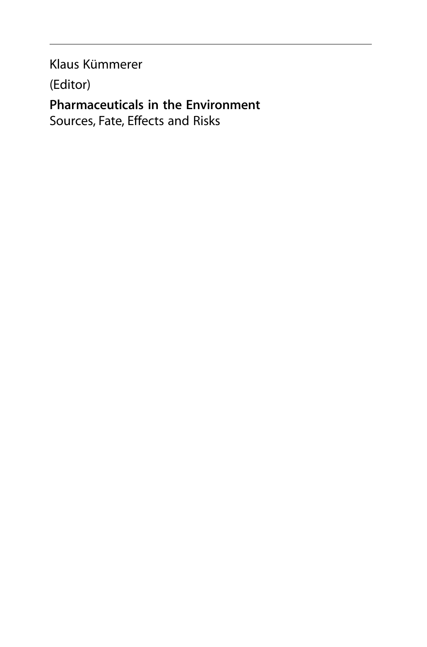Klaus Kümmerer

(Editor)

# **Pharmaceuticals in the Environment** Sources, Fate, Effects and Risks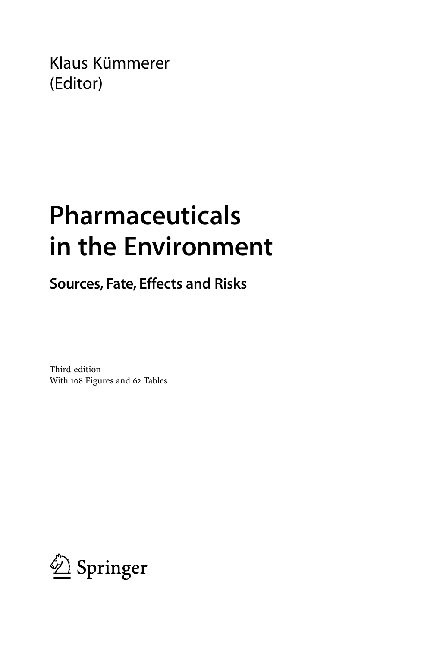Klaus Kümmerer (Editor)

# **Pharmaceuticals in the Environment**

**Sources, Fate, Effects and Risks**

Third edition With 108 Figures and 62 Tables

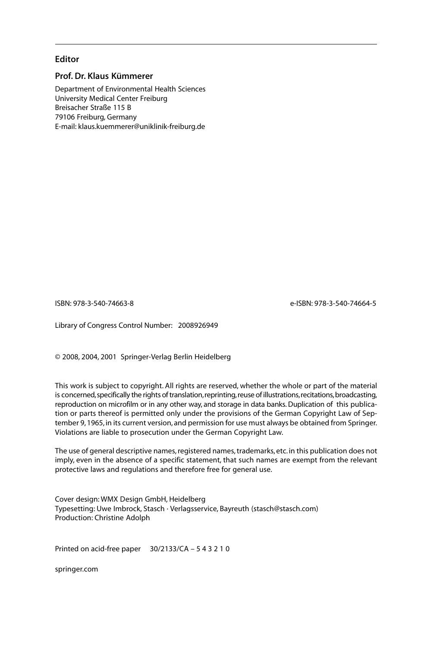#### **Editor**

#### **Prof. Dr. Klaus Kümmerer**

Department of Environmental Health Sciences University Medical Center Freiburg Breisacher Straße 115 B 79106 Freiburg, Germany E-mail: klaus.kuemmerer@uniklinik-freiburg.de

ISBN: 978-3-540-74663-8 e-ISBN: 978-3-540-74664-5

Library of Congress Control Number: 2008926949

© 2008, 2004, 2001 Springer-Verlag Berlin Heidelberg

This work is subject to copyright. All rights are reserved, whether the whole or part of the material is concerned, specifically the rights of translation, reprinting, reuse of illustrations, recitations, broadcasting, reproduction on microfilm or in any other way, and storage in data banks. Duplication of this publication or parts thereof is permitted only under the provisions of the German Copyright Law of September 9, 1965, in its current version, and permission for use must always be obtained from Springer. Violations are liable to prosecution under the German Copyright Law.

The use of general descriptive names, registered names, trademarks, etc. in this publication does not imply, even in the absence of a specific statement, that such names are exempt from the relevant protective laws and regulations and therefore free for general use.

Cover design: WMX Design GmbH, Heidelberg Typesetting: Uwe Imbrock, Stasch · Verlagsservice, Bayreuth (stasch@stasch.com) Production: Christine Adolph

Printed on acid-free paper 30/2133/CA – 5 4 3 2 1 0

springer.com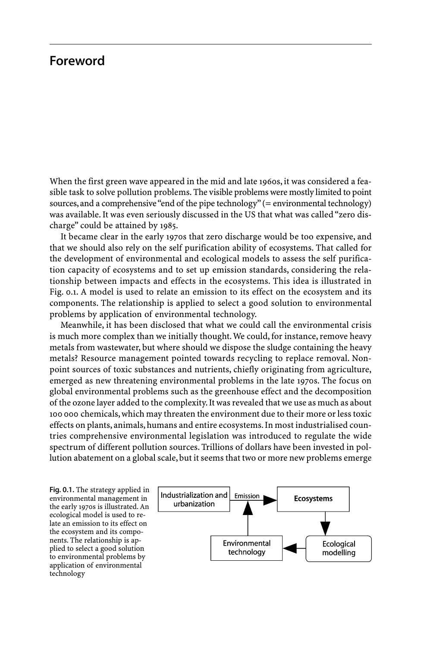### **Foreword**

When the first green wave appeared in the mid and late 1960s, it was considered a feasible task to solve pollution problems. The visible problems were mostly limited to point sources, and a comprehensive "end of the pipe technology" (= environmental technology) was available. It was even seriously discussed in the US that what was called "zero discharge" could be attained by 1985.

It became clear in the early 1970s that zero discharge would be too expensive, and that we should also rely on the self purification ability of ecosystems. That called for the development of environmental and ecological models to assess the self purification capacity of ecosystems and to set up emission standards, considering the relationship between impacts and effects in the ecosystems. This idea is illustrated in Fig. 0.1. A model is used to relate an emission to its effect on the ecosystem and its components. The relationship is applied to select a good solution to environmental problems by application of environmental technology.

Meanwhile, it has been disclosed that what we could call the environmental crisis is much more complex than we initially thought. We could, for instance, remove heavy metals from wastewater, but where should we dispose the sludge containing the heavy metals? Resource management pointed towards recycling to replace removal. Nonpoint sources of toxic substances and nutrients, chiefly originating from agriculture, emerged as new threatening environmental problems in the late 1970s. The focus on global environmental problems such as the greenhouse effect and the decomposition of the ozone layer added to the complexity. It was revealed that we use as much as about 100 000 chemicals, which may threaten the environment due to their more or less toxic effects on plants, animals, humans and entire ecosystems. In most industrialised countries comprehensive environmental legislation was introduced to regulate the wide spectrum of different pollution sources. Trillions of dollars have been invested in pollution abatement on a global scale, but it seems that two or more new problems emerge

**Fig. 0.1.** The strategy applied in environmental management in the early 1970s is illustrated. An ecological model is used to relate an emission to its effect on the ecosystem and its components. The relationship is applied to select a good solution to environmental problems by application of environmental technology

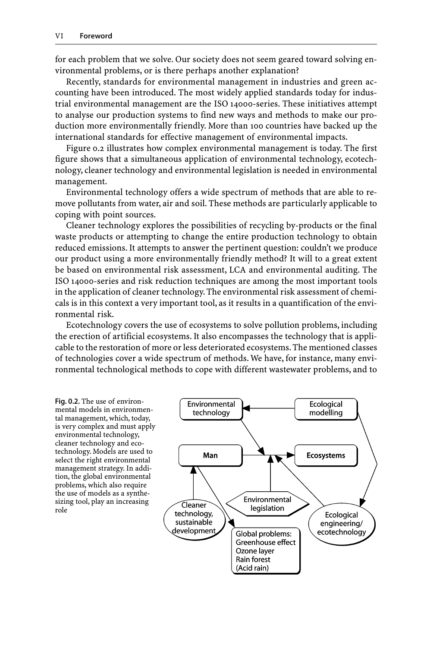for each problem that we solve. Our society does not seem geared toward solving environmental problems, or is there perhaps another explanation?

Recently, standards for environmental management in industries and green accounting have been introduced. The most widely applied standards today for industrial environmental management are the ISO 14000-series. These initiatives attempt to analyse our production systems to find new ways and methods to make our production more environmentally friendly. More than 100 countries have backed up the international standards for effective management of environmental impacts.

Figure 0.2 illustrates how complex environmental management is today. The first figure shows that a simultaneous application of environmental technology, ecotechnology, cleaner technology and environmental legislation is needed in environmental management.

Environmental technology offers a wide spectrum of methods that are able to remove pollutants from water, air and soil. These methods are particularly applicable to coping with point sources.

Cleaner technology explores the possibilities of recycling by-products or the final waste products or attempting to change the entire production technology to obtain reduced emissions. It attempts to answer the pertinent question: couldn't we produce our product using a more environmentally friendly method? It will to a great extent be based on environmental risk assessment, LCA and environmental auditing. The ISO 14000-series and risk reduction techniques are among the most important tools in the application of cleaner technology. The environmental risk assessment of chemicals is in this context a very important tool, as it results in a quantification of the environmental risk.

Ecotechnology covers the use of ecosystems to solve pollution problems, including the erection of artificial ecosystems. It also encompasses the technology that is applicable to the restoration of more or less deteriorated ecosystems. The mentioned classes of technologies cover a wide spectrum of methods. We have, for instance, many environmental technological methods to cope with different wastewater problems, and to

**Fig. 0.2.** The use of environmental models in environmental management, which, today, is very complex and must apply environmental technology, cleaner technology and ecotechnology. Models are used to select the right environmental management strategy. In addition, the global environmental problems, which also require the use of models as a synthesizing tool, play an increasing role

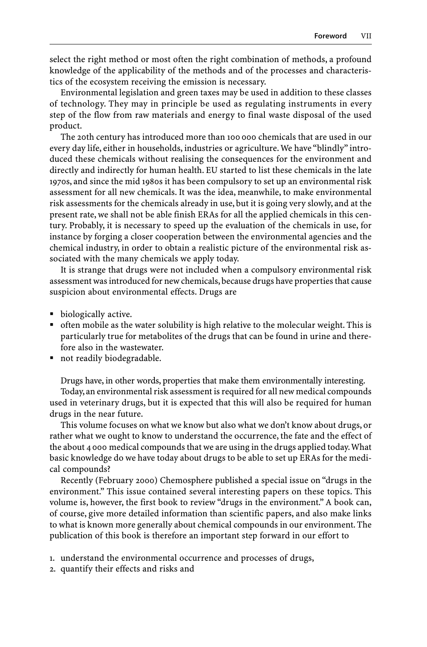select the right method or most often the right combination of methods, a profound knowledge of the applicability of the methods and of the processes and characteristics of the ecosystem receiving the emission is necessary.

Environmental legislation and green taxes may be used in addition to these classes of technology. They may in principle be used as regulating instruments in every step of the flow from raw materials and energy to final waste disposal of the used product.

The 20th century has introduced more than 100 000 chemicals that are used in our every day life, either in households, industries or agriculture. We have "blindly" introduced these chemicals without realising the consequences for the environment and directly and indirectly for human health. EU started to list these chemicals in the late 1970s, and since the mid 1980s it has been compulsory to set up an environmental risk assessment for all new chemicals. It was the idea, meanwhile, to make environmental risk assessments for the chemicals already in use, but it is going very slowly, and at the present rate, we shall not be able finish ERAs for all the applied chemicals in this century. Probably, it is necessary to speed up the evaluation of the chemicals in use, for instance by forging a closer cooperation between the environmental agencies and the chemical industry, in order to obtain a realistic picture of the environmental risk associated with the many chemicals we apply today.

It is strange that drugs were not included when a compulsory environmental risk assessment was introduced for new chemicals, because drugs have properties that cause suspicion about environmental effects. Drugs are

- biologically active.
- often mobile as the water solubility is high relative to the molecular weight. This is particularly true for metabolites of the drugs that can be found in urine and therefore also in the wastewater.
- not readily biodegradable.

Drugs have, in other words, properties that make them environmentally interesting.

Today, an environmental risk assessment is required for all new medical compounds used in veterinary drugs, but it is expected that this will also be required for human drugs in the near future.

This volume focuses on what we know but also what we don't know about drugs, or rather what we ought to know to understand the occurrence, the fate and the effect of the about 4 000 medical compounds that we are using in the drugs applied today. What basic knowledge do we have today about drugs to be able to set up ERAs for the medical compounds?

Recently (February 2000) Chemosphere published a special issue on "drugs in the environment." This issue contained several interesting papers on these topics. This volume is, however, the first book to review "drugs in the environment." A book can, of course, give more detailed information than scientific papers, and also make links to what is known more generally about chemical compounds in our environment. The publication of this book is therefore an important step forward in our effort to

- 1. understand the environmental occurrence and processes of drugs,
- 2. quantify their effects and risks and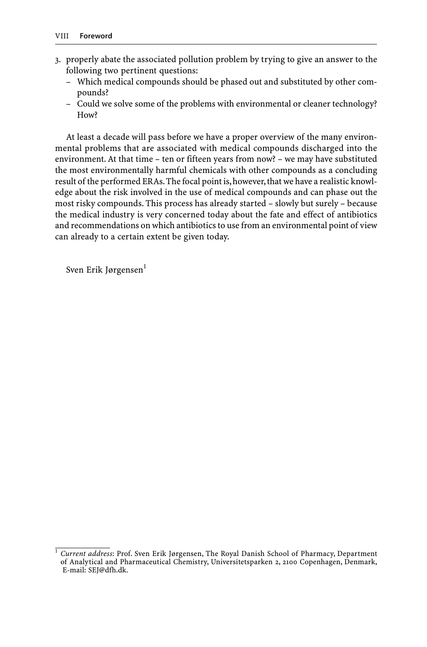- 3. properly abate the associated pollution problem by trying to give an answer to the following two pertinent questions:
	- Which medical compounds should be phased out and substituted by other compounds?
	- Could we solve some of the problems with environmental or cleaner technology? How?

At least a decade will pass before we have a proper overview of the many environmental problems that are associated with medical compounds discharged into the environment. At that time – ten or fifteen years from now? – we may have substituted the most environmentally harmful chemicals with other compounds as a concluding result of the performed ERAs. The focal point is, however, that we have a realistic knowledge about the risk involved in the use of medical compounds and can phase out the most risky compounds. This process has already started – slowly but surely – because the medical industry is very concerned today about the fate and effect of antibiotics and recommendations on which antibiotics to use from an environmental point of view can already to a certain extent be given today.

Sven Erik Jørgensen<sup>1</sup>

<sup>1</sup> *Current address*: Prof. Sven Erik Jørgensen, The Royal Danish School of Pharmacy, Department of Analytical and Pharmaceutical Chemistry, Universitetsparken 2, 2100 Copenhagen, Denmark, E-mail: SEJ@dfh.dk.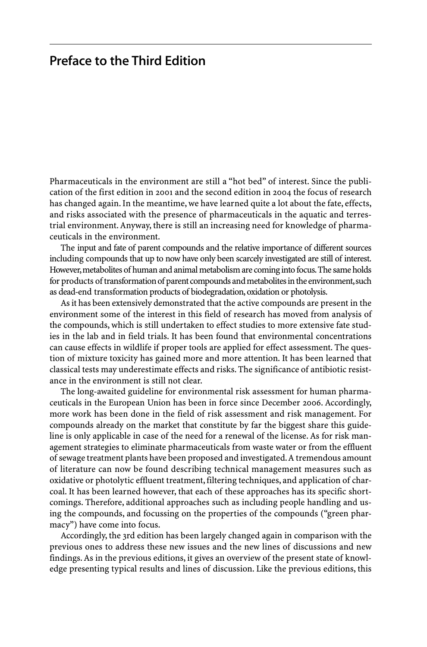## **Preface to the Third Edition**

Pharmaceuticals in the environment are still a "hot bed" of interest. Since the publication of the first edition in 2001 and the second edition in 2004 the focus of research has changed again. In the meantime, we have learned quite a lot about the fate, effects, and risks associated with the presence of pharmaceuticals in the aquatic and terrestrial environment. Anyway, there is still an increasing need for knowledge of pharmaceuticals in the environment.

The input and fate of parent compounds and the relative importance of different sources including compounds that up to now have only been scarcely investigated are still of interest. However, metabolites of human and animal metabolism are coming into focus. The same holds for products of transformation of parent compounds and metabolites in the environment, such as dead-end transformation products of biodegradation, oxidation or photolysis.

As it has been extensively demonstrated that the active compounds are present in the environment some of the interest in this field of research has moved from analysis of the compounds, which is still undertaken to effect studies to more extensive fate studies in the lab and in field trials. It has been found that environmental concentrations can cause effects in wildlife if proper tools are applied for effect assessment. The question of mixture toxicity has gained more and more attention. It has been learned that classical tests may underestimate effects and risks. The significance of antibiotic resistance in the environment is still not clear.

The long-awaited guideline for environmental risk assessment for human pharmaceuticals in the European Union has been in force since December 2006. Accordingly, more work has been done in the field of risk assessment and risk management. For compounds already on the market that constitute by far the biggest share this guideline is only applicable in case of the need for a renewal of the license. As for risk management strategies to eliminate pharmaceuticals from waste water or from the effluent of sewage treatment plants have been proposed and investigated. A tremendous amount of literature can now be found describing technical management measures such as oxidative or photolytic effluent treatment, filtering techniques, and application of charcoal. It has been learned however, that each of these approaches has its specific shortcomings. Therefore, additional approaches such as including people handling and using the compounds, and focussing on the properties of the compounds ("green pharmacy") have come into focus.

Accordingly, the 3rd edition has been largely changed again in comparison with the previous ones to address these new issues and the new lines of discussions and new findings. As in the previous editions, it gives an overview of the present state of knowledge presenting typical results and lines of discussion. Like the previous editions, this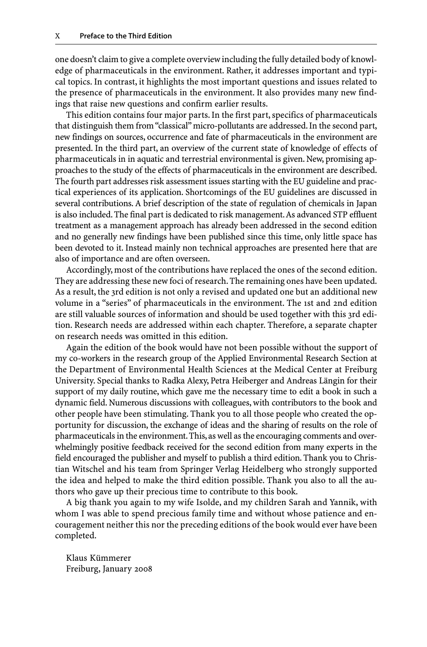one doesn't claim to give a complete overview including the fully detailed body of knowledge of pharmaceuticals in the environment. Rather, it addresses important and typical topics. In contrast, it highlights the most important questions and issues related to the presence of pharmaceuticals in the environment. It also provides many new findings that raise new questions and confirm earlier results.

This edition contains four major parts. In the first part, specifics of pharmaceuticals that distinguish them from "classical" micro-pollutants are addressed. In the second part, new findings on sources, occurrence and fate of pharmaceuticals in the environment are presented. In the third part, an overview of the current state of knowledge of effects of pharmaceuticals in in aquatic and terrestrial environmental is given. New, promising approaches to the study of the effects of pharmaceuticals in the environment are described. The fourth part addresses risk assessment issues starting with the EU guideline and practical experiences of its application. Shortcomings of the EU guidelines are discussed in several contributions. A brief description of the state of regulation of chemicals in Japan is also included. The final part is dedicated to risk management. As advanced STP effluent treatment as a management approach has already been addressed in the second edition and no generally new findings have been published since this time, only little space has been devoted to it. Instead mainly non technical approaches are presented here that are also of importance and are often overseen.

Accordingly, most of the contributions have replaced the ones of the second edition. They are addressing these new foci of research. The remaining ones have been updated. As a result, the 3rd edition is not only a revised and updated one but an additional new volume in a "series" of pharmaceuticals in the environment. The 1st and 2nd edition are still valuable sources of information and should be used together with this 3rd edition. Research needs are addressed within each chapter. Therefore, a separate chapter on research needs was omitted in this edition.

Again the edition of the book would have not been possible without the support of my co-workers in the research group of the Applied Environmental Research Section at the Department of Environmental Health Sciences at the Medical Center at Freiburg University. Special thanks to Radka Alexy, Petra Heiberger and Andreas Längin for their support of my daily routine, which gave me the necessary time to edit a book in such a dynamic field. Numerous discussions with colleagues, with contributors to the book and other people have been stimulating. Thank you to all those people who created the opportunity for discussion, the exchange of ideas and the sharing of results on the role of pharmaceuticals in the environment. This, as well as the encouraging comments and overwhelmingly positive feedback received for the second edition from many experts in the field encouraged the publisher and myself to publish a third edition. Thank you to Christian Witschel and his team from Springer Verlag Heidelberg who strongly supported the idea and helped to make the third edition possible. Thank you also to all the authors who gave up their precious time to contribute to this book.

A big thank you again to my wife Isolde, and my children Sarah and Yannik, with whom I was able to spend precious family time and without whose patience and encouragement neither this nor the preceding editions of the book would ever have been completed.

Klaus Kümmerer Freiburg, January 2008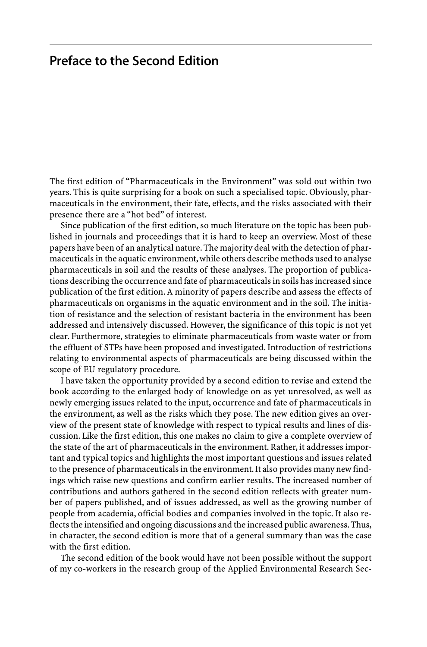## **Preface to the Second Edition**

The first edition of "Pharmaceuticals in the Environment" was sold out within two years. This is quite surprising for a book on such a specialised topic. Obviously, pharmaceuticals in the environment, their fate, effects, and the risks associated with their presence there are a "hot bed" of interest.

Since publication of the first edition, so much literature on the topic has been published in journals and proceedings that it is hard to keep an overview. Most of these papers have been of an analytical nature. The majority deal with the detection of pharmaceuticals in the aquatic environment, while others describe methods used to analyse pharmaceuticals in soil and the results of these analyses. The proportion of publications describing the occurrence and fate of pharmaceuticals in soils has increased since publication of the first edition. A minority of papers describe and assess the effects of pharmaceuticals on organisms in the aquatic environment and in the soil. The initiation of resistance and the selection of resistant bacteria in the environment has been addressed and intensively discussed. However, the significance of this topic is not yet clear. Furthermore, strategies to eliminate pharmaceuticals from waste water or from the effluent of STPs have been proposed and investigated. Introduction of restrictions relating to environmental aspects of pharmaceuticals are being discussed within the scope of EU regulatory procedure.

I have taken the opportunity provided by a second edition to revise and extend the book according to the enlarged body of knowledge on as yet unresolved, as well as newly emerging issues related to the input, occurrence and fate of pharmaceuticals in the environment, as well as the risks which they pose. The new edition gives an overview of the present state of knowledge with respect to typical results and lines of discussion. Like the first edition, this one makes no claim to give a complete overview of the state of the art of pharmaceuticals in the environment. Rather, it addresses important and typical topics and highlights the most important questions and issues related to the presence of pharmaceuticals in the environment. It also provides many new findings which raise new questions and confirm earlier results. The increased number of contributions and authors gathered in the second edition reflects with greater number of papers published, and of issues addressed, as well as the growing number of people from academia, official bodies and companies involved in the topic. It also reflects the intensified and ongoing discussions and the increased public awareness. Thus, in character, the second edition is more that of a general summary than was the case with the first edition.

The second edition of the book would have not been possible without the support of my co-workers in the research group of the Applied Environmental Research Sec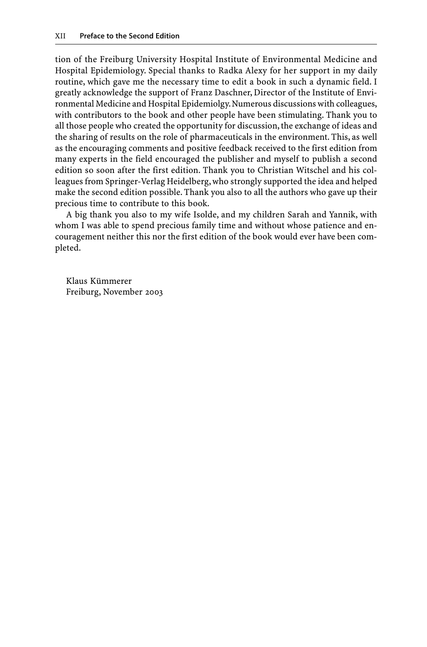tion of the Freiburg University Hospital Institute of Environmental Medicine and Hospital Epidemiology. Special thanks to Radka Alexy for her support in my daily routine, which gave me the necessary time to edit a book in such a dynamic field. I greatly acknowledge the support of Franz Daschner, Director of the Institute of Environmental Medicine and Hospital Epidemiolgy. Numerous discussions with colleagues, with contributors to the book and other people have been stimulating. Thank you to all those people who created the opportunity for discussion, the exchange of ideas and the sharing of results on the role of pharmaceuticals in the environment. This, as well as the encouraging comments and positive feedback received to the first edition from many experts in the field encouraged the publisher and myself to publish a second edition so soon after the first edition. Thank you to Christian Witschel and his colleagues from Springer-Verlag Heidelberg, who strongly supported the idea and helped make the second edition possible. Thank you also to all the authors who gave up their precious time to contribute to this book.

A big thank you also to my wife Isolde, and my children Sarah and Yannik, with whom I was able to spend precious family time and without whose patience and encouragement neither this nor the first edition of the book would ever have been completed.

Klaus Kümmerer Freiburg, November 2003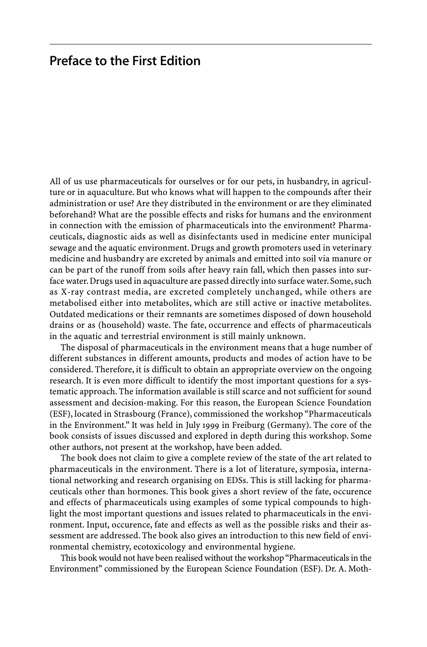## **Preface to the First Edition**

All of us use pharmaceuticals for ourselves or for our pets, in husbandry, in agriculture or in aquaculture. But who knows what will happen to the compounds after their administration or use? Are they distributed in the environment or are they eliminated beforehand? What are the possible effects and risks for humans and the environment in connection with the emission of pharmaceuticals into the environment? Pharmaceuticals, diagnostic aids as well as disinfectants used in medicine enter municipal sewage and the aquatic environment. Drugs and growth promoters used in veterinary medicine and husbandry are excreted by animals and emitted into soil via manure or can be part of the runoff from soils after heavy rain fall, which then passes into surface water. Drugs used in aquaculture are passed directly into surface water. Some, such as X-ray contrast media, are excreted completely unchanged, while others are metabolised either into metabolites, which are still active or inactive metabolites. Outdated medications or their remnants are sometimes disposed of down household drains or as (household) waste. The fate, occurrence and effects of pharmaceuticals in the aquatic and terrestrial environment is still mainly unknown.

The disposal of pharmaceuticals in the environment means that a huge number of different substances in different amounts, products and modes of action have to be considered. Therefore, it is difficult to obtain an appropriate overview on the ongoing research. It is even more difficult to identify the most important questions for a systematic approach. The information available is still scarce and not sufficient for sound assessment and decision-making. For this reason, the European Science Foundation (ESF), located in Strasbourg (France), commissioned the workshop "Pharmaceuticals in the Environment." It was held in July 1999 in Freiburg (Germany). The core of the book consists of issues discussed and explored in depth during this workshop. Some other authors, not present at the workshop, have been added.

The book does not claim to give a complete review of the state of the art related to pharmaceuticals in the environment. There is a lot of literature, symposia, international networking and research organising on EDSs. This is still lacking for pharmaceuticals other than hormones. This book gives a short review of the fate, occurence and effects of pharmaceuticals using examples of some typical compounds to highlight the most important questions and issues related to pharmaceuticals in the environment. Input, occurence, fate and effects as well as the possible risks and their assessment are addressed. The book also gives an introduction to this new field of environmental chemistry, ecotoxicology and environmental hygiene.

This book would not have been realised without the workshop "Pharmaceuticals in the Environment" commissioned by the European Science Foundation (ESF). Dr. A. Moth-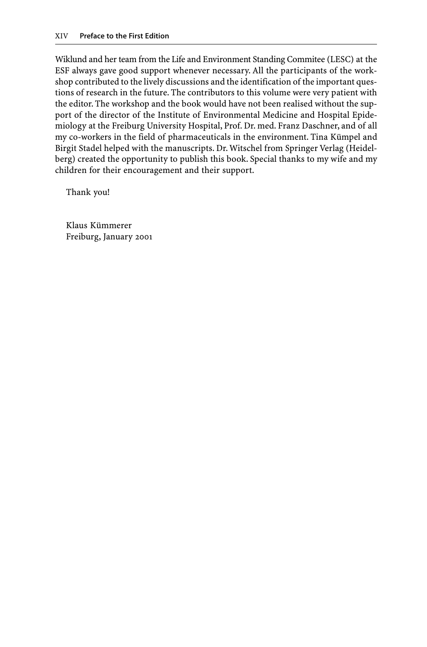Wiklund and her team from the Life and Environment Standing Commitee (LESC) at the ESF always gave good support whenever necessary. All the participants of the workshop contributed to the lively discussions and the identification of the important questions of research in the future. The contributors to this volume were very patient with the editor. The workshop and the book would have not been realised without the support of the director of the Institute of Environmental Medicine and Hospital Epidemiology at the Freiburg University Hospital, Prof. Dr. med. Franz Daschner, and of all my co-workers in the field of pharmaceuticals in the environment. Tina Kümpel and Birgit Stadel helped with the manuscripts. Dr. Witschel from Springer Verlag (Heidelberg) created the opportunity to publish this book. Special thanks to my wife and my children for their encouragement and their support.

Thank you!

Klaus Kümmerer Freiburg, January 2001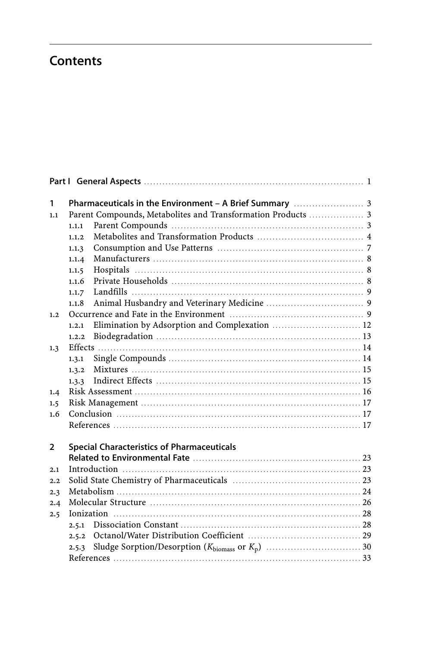# **Contents**

| 1              |                                                              |  |
|----------------|--------------------------------------------------------------|--|
| 1.1            | Parent Compounds, Metabolites and Transformation Products  3 |  |
|                | 1.1.1                                                        |  |
|                | 1.1.2.                                                       |  |
|                | 1.1.3                                                        |  |
|                | 1.1.4                                                        |  |
|                | 1.1.5                                                        |  |
|                | 1.1.6                                                        |  |
|                | 1.1.7                                                        |  |
|                | 1.1.8                                                        |  |
| 1.2            |                                                              |  |
|                | Elimination by Adsorption and Complexation  12<br>1.2.1      |  |
|                | 1.2.2                                                        |  |
| 1.3            |                                                              |  |
|                | 1.3.1                                                        |  |
|                | 1, 3, 2                                                      |  |
|                | 1.3.3                                                        |  |
| 1.4            |                                                              |  |
| 1.5            |                                                              |  |
| 1.6            |                                                              |  |
|                |                                                              |  |
| $\overline{2}$ | <b>Special Characteristics of Pharmaceuticals</b>            |  |
|                |                                                              |  |
| 2.1            |                                                              |  |
| 2.2            |                                                              |  |
| 2.3            |                                                              |  |
| 2.4            |                                                              |  |
| 2.5            |                                                              |  |
|                |                                                              |  |
|                | 2.5.2                                                        |  |
|                | 2.5.3                                                        |  |
|                |                                                              |  |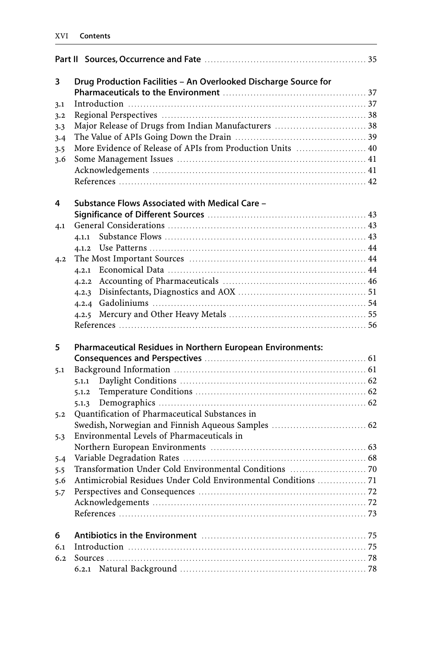| 3   | Drug Production Facilities - An Overlooked Discharge Source for   |  |
|-----|-------------------------------------------------------------------|--|
|     |                                                                   |  |
| 3.1 |                                                                   |  |
| 3.2 |                                                                   |  |
| 3.3 | Major Release of Drugs from Indian Manufacturers  38              |  |
| 3.4 |                                                                   |  |
| 3.5 | More Evidence of Release of APIs from Production Units  40        |  |
| 3.6 |                                                                   |  |
|     |                                                                   |  |
|     |                                                                   |  |
| 4   | Substance Flows Associated with Medical Care -                    |  |
|     |                                                                   |  |
| 4.1 |                                                                   |  |
|     | 4.1.1                                                             |  |
|     |                                                                   |  |
| 4.2 |                                                                   |  |
|     |                                                                   |  |
|     |                                                                   |  |
|     |                                                                   |  |
|     |                                                                   |  |
|     |                                                                   |  |
|     |                                                                   |  |
| 5   | <b>Pharmaceutical Residues in Northern European Environments:</b> |  |
|     |                                                                   |  |
| 5.1 |                                                                   |  |
|     | 5.1.1                                                             |  |
|     | 5.1.2                                                             |  |
|     | 5.1.3                                                             |  |
| 5.2 | Quantification of Pharmaceutical Substances in                    |  |
|     |                                                                   |  |
| 5.3 | Environmental Levels of Pharmaceuticals in                        |  |
|     |                                                                   |  |
| 5.4 |                                                                   |  |
| 5.5 | Transformation Under Cold Environmental Conditions  70            |  |
| 5.6 | Antimicrobial Residues Under Cold Environmental Conditions  71    |  |
| 5.7 |                                                                   |  |
|     |                                                                   |  |
|     |                                                                   |  |
| 6   |                                                                   |  |
| 6.1 |                                                                   |  |
| 6.2 |                                                                   |  |
|     |                                                                   |  |
|     |                                                                   |  |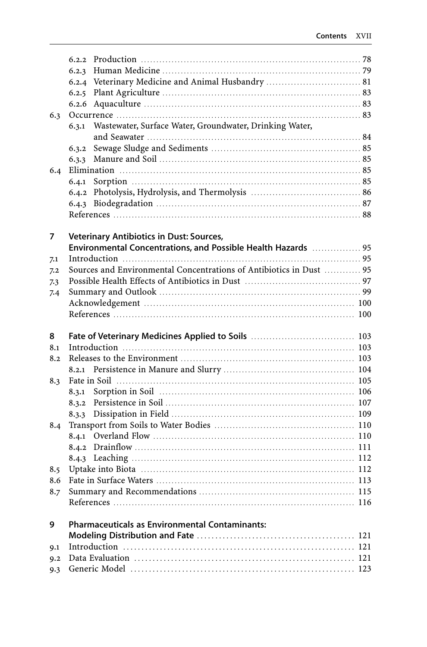|     | 6.2.2.                                                              |  |
|-----|---------------------------------------------------------------------|--|
|     | 6.2.3                                                               |  |
|     | 6.2.4 Veterinary Medicine and Animal Husbandry  81                  |  |
|     | 6.2.5                                                               |  |
|     |                                                                     |  |
| 6.3 |                                                                     |  |
|     | Wastewater, Surface Water, Groundwater, Drinking Water,<br>6.3.1    |  |
|     |                                                                     |  |
|     | 6.3.2                                                               |  |
|     | 6.3.3                                                               |  |
| 6.4 |                                                                     |  |
|     | 6.4.1                                                               |  |
|     | 6.4.2                                                               |  |
|     |                                                                     |  |
|     |                                                                     |  |
|     |                                                                     |  |
| 7   | Veterinary Antibiotics in Dust: Sources,                            |  |
|     | Environmental Concentrations, and Possible Health Hazards  95       |  |
| 7.1 |                                                                     |  |
| 7.2 | Sources and Environmental Concentrations of Antibiotics in Dust  95 |  |
| 7.3 |                                                                     |  |
| 7.4 |                                                                     |  |
|     |                                                                     |  |
|     |                                                                     |  |
|     |                                                                     |  |
| 8   |                                                                     |  |
| 8.1 |                                                                     |  |
| 8.2 | 8.2.1                                                               |  |
|     |                                                                     |  |
| 8.3 | 8.3.1                                                               |  |
|     | 8.3.2                                                               |  |
|     | 8.3.3                                                               |  |
| 8.4 |                                                                     |  |
|     |                                                                     |  |
|     |                                                                     |  |
|     |                                                                     |  |
| 8.5 |                                                                     |  |
| 8.6 |                                                                     |  |
| 8.7 |                                                                     |  |
|     |                                                                     |  |
|     |                                                                     |  |
| 9   | <b>Pharmaceuticals as Environmental Contaminants:</b>               |  |
|     |                                                                     |  |
| 9.1 |                                                                     |  |
| 9.2 | Data Evaluation (121)                                               |  |
| 9.3 |                                                                     |  |
|     |                                                                     |  |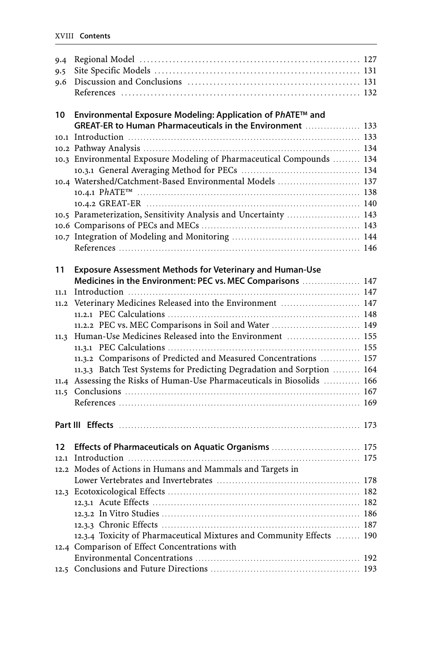| 9.4  |                                                                                                                 |  |
|------|-----------------------------------------------------------------------------------------------------------------|--|
| 9.5  |                                                                                                                 |  |
| 9.6  |                                                                                                                 |  |
|      |                                                                                                                 |  |
| 10   | Environmental Exposure Modeling: Application of PhATE™ and                                                      |  |
|      | GREAT-ER to Human Pharmaceuticals in the Environment  133                                                       |  |
|      |                                                                                                                 |  |
|      |                                                                                                                 |  |
|      | 10.3 Environmental Exposure Modeling of Pharmaceutical Compounds  134                                           |  |
|      |                                                                                                                 |  |
|      | 10.4 Watershed/Catchment-Based Environmental Models  137                                                        |  |
|      |                                                                                                                 |  |
|      |                                                                                                                 |  |
|      | 10.5 Parameterization, Sensitivity Analysis and Uncertainty  143                                                |  |
|      |                                                                                                                 |  |
|      |                                                                                                                 |  |
|      |                                                                                                                 |  |
|      |                                                                                                                 |  |
| 11   | Exposure Assessment Methods for Veterinary and Human-Use                                                        |  |
|      | Medicines in the Environment: PEC vs. MEC Comparisons  147                                                      |  |
| 11.1 |                                                                                                                 |  |
| 11.2 | Veterinary Medicines Released into the Environment  147                                                         |  |
|      |                                                                                                                 |  |
|      | 11.2.2 PEC vs. MEC Comparisons in Soil and Water  149<br>Human-Use Medicines Released into the Environment  155 |  |
| 11.3 |                                                                                                                 |  |
|      | 11.3.2 Comparisons of Predicted and Measured Concentrations  157                                                |  |
|      | 11.3.3 Batch Test Systems for Predicting Degradation and Sorption  164                                          |  |
|      | 11.4 Assessing the Risks of Human-Use Pharmaceuticals in Biosolids  166                                         |  |
| 11.5 |                                                                                                                 |  |
|      |                                                                                                                 |  |
|      |                                                                                                                 |  |
|      |                                                                                                                 |  |
|      |                                                                                                                 |  |
| 12   | Effects of Pharmaceuticals on Aquatic Organisms  175                                                            |  |
|      |                                                                                                                 |  |
|      | 12.2 Modes of Actions in Humans and Mammals and Targets in                                                      |  |
|      |                                                                                                                 |  |
|      |                                                                                                                 |  |
|      |                                                                                                                 |  |
|      |                                                                                                                 |  |
|      |                                                                                                                 |  |
|      | 12.3.4 Toxicity of Pharmaceutical Mixtures and Community Effects  190                                           |  |
|      | 12.4 Comparison of Effect Concentrations with                                                                   |  |
|      |                                                                                                                 |  |
|      |                                                                                                                 |  |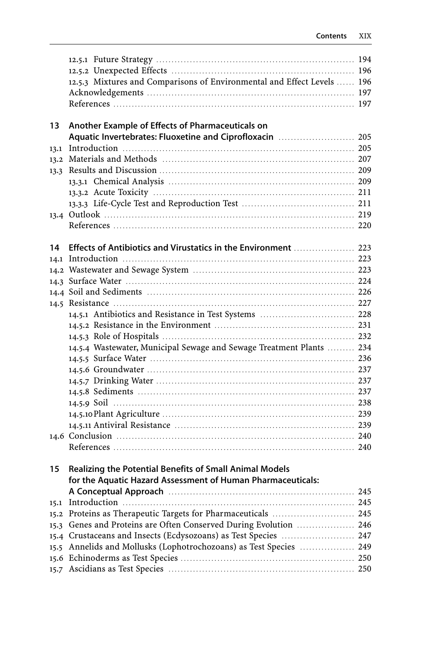|      | 12.5.3 Mixtures and Comparisons of Environmental and Effect Levels  196 |  |
|------|-------------------------------------------------------------------------|--|
|      |                                                                         |  |
|      |                                                                         |  |
|      |                                                                         |  |
| 13   | Another Example of Effects of Pharmaceuticals on                        |  |
|      | Aquatic Invertebrates: Fluoxetine and Ciprofloxacin  205                |  |
| 13.1 |                                                                         |  |
|      |                                                                         |  |
|      |                                                                         |  |
|      |                                                                         |  |
|      |                                                                         |  |
|      |                                                                         |  |
|      |                                                                         |  |
|      |                                                                         |  |
|      |                                                                         |  |
| 14   |                                                                         |  |
|      |                                                                         |  |
|      |                                                                         |  |
|      |                                                                         |  |
|      |                                                                         |  |
|      |                                                                         |  |
|      |                                                                         |  |
|      |                                                                         |  |
|      |                                                                         |  |
|      | 14.5.4 Wastewater, Municipal Sewage and Sewage Treatment Plants  234    |  |
|      |                                                                         |  |
|      |                                                                         |  |
|      |                                                                         |  |
|      |                                                                         |  |
|      |                                                                         |  |
|      |                                                                         |  |
|      |                                                                         |  |
|      |                                                                         |  |
|      |                                                                         |  |
|      |                                                                         |  |
| 15   | Realizing the Potential Benefits of Small Animal Models                 |  |
|      | for the Aquatic Hazard Assessment of Human Pharmaceuticals:             |  |
|      |                                                                         |  |
| 15.1 |                                                                         |  |
|      | 15.2 Proteins as Therapeutic Targets for Pharmaceuticals  245           |  |
|      | 15.3 Genes and Proteins are Often Conserved During Evolution  246       |  |
|      | 15.4 Crustaceans and Insects (Ecdysozoans) as Test Species  247         |  |
|      | 15.5 Annelids and Mollusks (Lophotrochozoans) as Test Species  249      |  |
|      |                                                                         |  |
|      |                                                                         |  |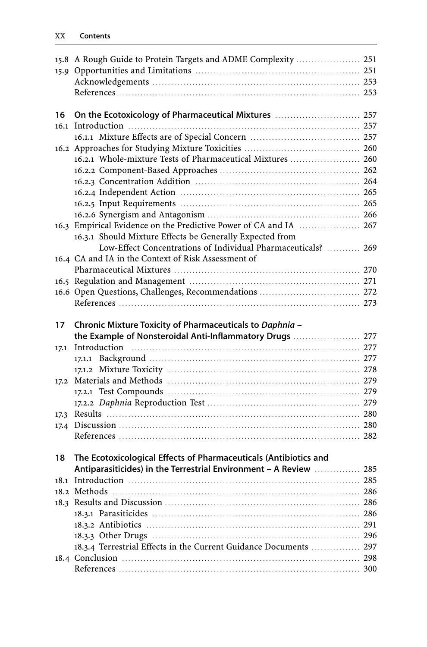|      | 15.8 A Rough Guide to Protein Targets and ADME Complexity  251    |     |
|------|-------------------------------------------------------------------|-----|
|      |                                                                   |     |
|      |                                                                   |     |
|      |                                                                   |     |
|      |                                                                   |     |
| 16   | On the Ecotoxicology of Pharmaceutical Mixtures  257              |     |
| 16.1 |                                                                   |     |
|      |                                                                   |     |
|      |                                                                   |     |
|      | 16.2.1 Whole-mixture Tests of Pharmaceutical Mixtures  260        |     |
|      |                                                                   |     |
|      |                                                                   |     |
|      |                                                                   |     |
|      |                                                                   |     |
|      |                                                                   |     |
|      | 16.3 Empirical Evidence on the Predictive Power of CA and IA  267 |     |
|      | 16.3.1 Should Mixture Effects be Generally Expected from          |     |
|      | Low-Effect Concentrations of Individual Pharmaceuticals?  269     |     |
|      | 16.4 CA and IA in the Context of Risk Assessment of               |     |
|      |                                                                   |     |
|      |                                                                   |     |
|      | 16.6 Open Questions, Challenges, Recommendations  272             |     |
|      |                                                                   |     |
|      |                                                                   |     |
|      |                                                                   |     |
| 17   | Chronic Mixture Toxicity of Pharmaceuticals to Daphnia -          |     |
|      | the Example of Nonsteroidal Anti-Inflammatory Drugs  277          |     |
| 17.1 |                                                                   |     |
|      |                                                                   |     |
|      |                                                                   |     |
| 17.2 |                                                                   |     |
|      |                                                                   |     |
|      |                                                                   |     |
|      |                                                                   |     |
| 17.4 |                                                                   |     |
|      |                                                                   |     |
| 18   |                                                                   |     |
|      | The Ecotoxicological Effects of Pharmaceuticals (Antibiotics and  |     |
|      | Antiparasiticides) in the Terrestrial Environment - A Review  285 |     |
|      |                                                                   |     |
|      |                                                                   |     |
|      |                                                                   | 286 |
|      |                                                                   |     |
|      |                                                                   | 291 |
|      |                                                                   |     |
|      | 18.3.4 Terrestrial Effects in the Current Guidance Documents  297 |     |
|      |                                                                   |     |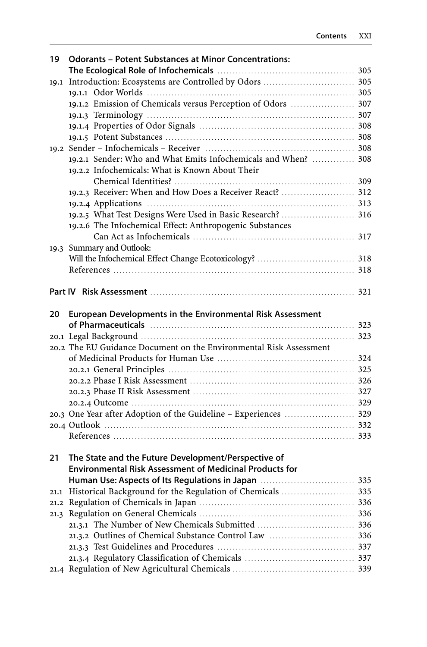| 19   | <b>Odorants - Potent Substances at Minor Concentrations:</b>       |     |
|------|--------------------------------------------------------------------|-----|
|      |                                                                    |     |
|      |                                                                    |     |
|      |                                                                    |     |
|      | 19.1.2 Emission of Chemicals versus Perception of Odors  307       |     |
|      |                                                                    |     |
|      |                                                                    |     |
|      |                                                                    |     |
|      |                                                                    |     |
|      | 19.2.1 Sender: Who and What Emits Infochemicals and When?  308     |     |
|      | 19.2.2 Infochemicals: What is Known About Their                    |     |
|      |                                                                    |     |
|      | 19.2.3 Receiver: When and How Does a Receiver React?  312          |     |
|      |                                                                    |     |
|      | 19.2.5 What Test Designs Were Used in Basic Research?  316         |     |
|      | 19.2.6 The Infochemical Effect: Anthropogenic Substances           |     |
|      |                                                                    |     |
|      | 19.3 Summary and Outlook:                                          |     |
|      |                                                                    |     |
|      |                                                                    |     |
|      |                                                                    |     |
|      |                                                                    |     |
|      |                                                                    |     |
| 20   | European Developments in the Environmental Risk Assessment         |     |
|      |                                                                    |     |
|      |                                                                    |     |
|      | 20.2 The EU Guidance Document on the Environmental Risk Assessment |     |
|      |                                                                    |     |
|      |                                                                    |     |
|      |                                                                    |     |
|      |                                                                    |     |
|      |                                                                    |     |
|      |                                                                    |     |
|      | 20.3 One Year after Adoption of the Guideline - Experiences  329   |     |
|      |                                                                    |     |
|      |                                                                    |     |
|      |                                                                    |     |
| 21   | The State and the Future Development/Perspective of                |     |
|      | <b>Environmental Risk Assessment of Medicinal Products for</b>     |     |
|      |                                                                    |     |
| 21.1 | Historical Background for the Regulation of Chemicals  335         |     |
|      |                                                                    |     |
|      |                                                                    |     |
|      |                                                                    |     |
|      | 21.3.2 Outlines of Chemical Substance Control Law                  | 336 |
|      |                                                                    |     |
|      |                                                                    |     |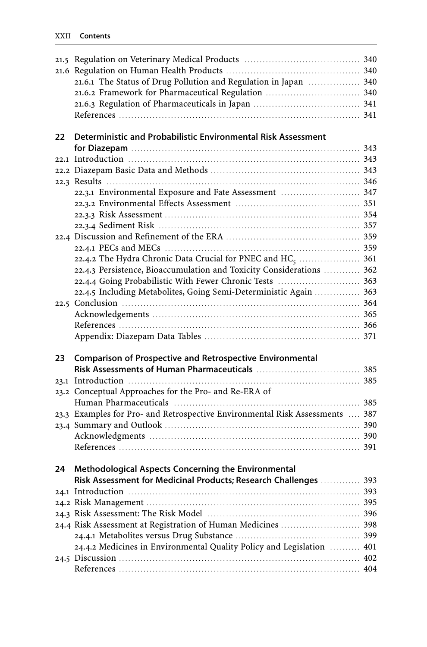|    | 21.6.1 The Status of Drug Pollution and Regulation in Japan  340             |     |
|----|------------------------------------------------------------------------------|-----|
|    | 21.6.2 Framework for Pharmaceutical Regulation  340                          |     |
|    |                                                                              |     |
|    |                                                                              |     |
|    |                                                                              |     |
| 22 | Deterministic and Probabilistic Environmental Risk Assessment                |     |
|    |                                                                              |     |
|    |                                                                              |     |
|    |                                                                              |     |
|    |                                                                              |     |
|    | 22.3.1 Environmental Exposure and Fate Assessment  347                       |     |
|    |                                                                              |     |
|    |                                                                              |     |
|    |                                                                              |     |
|    |                                                                              |     |
|    |                                                                              |     |
|    |                                                                              |     |
|    |                                                                              |     |
|    | 22.4.3 Persistence, Bioaccumulation and Toxicity Considerations  362         |     |
|    | 22.4.4 Going Probabilistic With Fewer Chronic Tests  363                     |     |
|    | 22.4.5 Including Metabolites, Going Semi-Deterministic Again  363            |     |
|    |                                                                              |     |
|    |                                                                              |     |
|    |                                                                              |     |
|    |                                                                              |     |
|    |                                                                              |     |
| 23 | <b>Comparison of Prospective and Retrospective Environmental</b>             |     |
|    |                                                                              |     |
|    |                                                                              |     |
|    | 23.2 Conceptual Approaches for the Pro- and Re-ERA of                        |     |
|    |                                                                              |     |
|    | 23.3 Examples for Pro- and Retrospective Environmental Risk Assessments  387 |     |
|    |                                                                              |     |
|    |                                                                              |     |
|    |                                                                              |     |
|    |                                                                              |     |
| 24 | Methodological Aspects Concerning the Environmental                          |     |
|    | Risk Assessment for Medicinal Products; Research Challenges  393             |     |
|    |                                                                              | 393 |
|    |                                                                              | 395 |
|    |                                                                              |     |
|    | 24.4 Risk Assessment at Registration of Human Medicines                      | 398 |
|    |                                                                              | 399 |
|    | 24.4.2 Medicines in Environmental Quality Policy and Legislation  401        |     |
|    |                                                                              | 402 |
|    |                                                                              |     |
|    |                                                                              |     |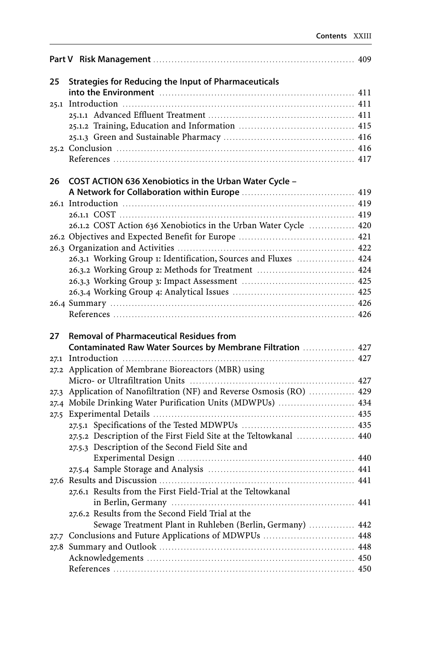| 25 | <b>Strategies for Reducing the Input of Pharmaceuticals</b>           |  |
|----|-----------------------------------------------------------------------|--|
|    |                                                                       |  |
|    |                                                                       |  |
|    |                                                                       |  |
|    |                                                                       |  |
|    |                                                                       |  |
|    |                                                                       |  |
|    |                                                                       |  |
| 26 | COST ACTION 636 Xenobiotics in the Urban Water Cycle -                |  |
|    |                                                                       |  |
|    |                                                                       |  |
|    |                                                                       |  |
|    | 26.1.2 COST Action 636 Xenobiotics in the Urban Water Cycle  420      |  |
|    |                                                                       |  |
|    |                                                                       |  |
|    | 26.3.1 Working Group 1: Identification, Sources and Fluxes  424       |  |
|    | 26.3.2 Working Group 2: Methods for Treatment  424                    |  |
|    |                                                                       |  |
|    |                                                                       |  |
|    |                                                                       |  |
|    |                                                                       |  |
| 27 | <b>Removal of Pharmaceutical Residues from</b>                        |  |
|    | Contaminated Raw Water Sources by Membrane Filtration  427            |  |
|    |                                                                       |  |
|    | 27.2 Application of Membrane Bioreactors (MBR) using                  |  |
|    |                                                                       |  |
|    | 27.3 Application of Nanofiltration (NF) and Reverse Osmosis (RO)  429 |  |
|    | 27.4 Mobile Drinking Water Purification Units (MDWPUs)  434           |  |
|    |                                                                       |  |
|    |                                                                       |  |
|    | 27.5.2 Description of the First Field Site at the Teltowkanal  440    |  |
|    | 27.5.3 Description of the Second Field Site and                       |  |
|    |                                                                       |  |
|    |                                                                       |  |
|    |                                                                       |  |
|    | 27.6.1 Results from the First Field-Trial at the Teltowkanal          |  |
|    |                                                                       |  |
|    | 27.6.2 Results from the Second Field Trial at the                     |  |
|    | Sewage Treatment Plant in Ruhleben (Berlin, Germany)  442             |  |
|    | 27.7 Conclusions and Future Applications of MDWPUs  448               |  |
|    |                                                                       |  |
|    |                                                                       |  |
|    |                                                                       |  |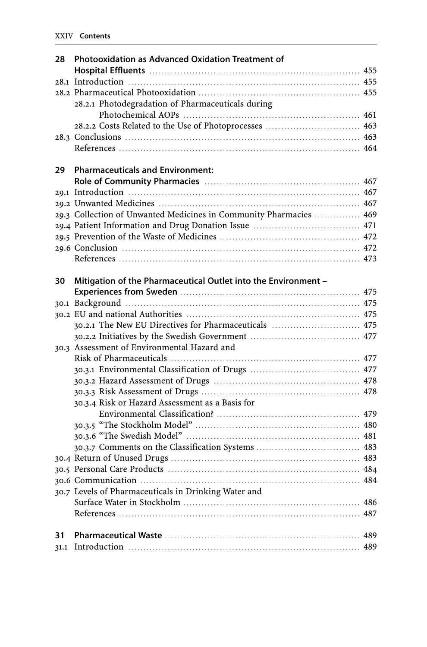| 28   | Photooxidation as Advanced Oxidation Treatment of                  |  |
|------|--------------------------------------------------------------------|--|
|      |                                                                    |  |
|      |                                                                    |  |
|      |                                                                    |  |
|      | 28.2.1 Photodegradation of Pharmaceuticals during                  |  |
|      |                                                                    |  |
|      |                                                                    |  |
|      |                                                                    |  |
|      |                                                                    |  |
|      |                                                                    |  |
| 29   | <b>Pharmaceuticals and Environment:</b>                            |  |
|      |                                                                    |  |
|      |                                                                    |  |
|      |                                                                    |  |
|      | 29.3 Collection of Unwanted Medicines in Community Pharmacies  469 |  |
|      |                                                                    |  |
|      |                                                                    |  |
|      |                                                                    |  |
|      |                                                                    |  |
|      |                                                                    |  |
| 30   | Mitigation of the Pharmaceutical Outlet into the Environment -     |  |
|      |                                                                    |  |
|      |                                                                    |  |
|      |                                                                    |  |
|      |                                                                    |  |
|      |                                                                    |  |
|      | 30.3 Assessment of Environmental Hazard and                        |  |
|      |                                                                    |  |
|      |                                                                    |  |
|      |                                                                    |  |
|      |                                                                    |  |
|      | 30.3.4 Risk or Hazard Assessment as a Basis for                    |  |
|      |                                                                    |  |
|      |                                                                    |  |
|      |                                                                    |  |
|      |                                                                    |  |
|      |                                                                    |  |
|      |                                                                    |  |
|      |                                                                    |  |
|      | 30.7 Levels of Pharmaceuticals in Drinking Water and               |  |
|      |                                                                    |  |
|      |                                                                    |  |
|      |                                                                    |  |
| 31   |                                                                    |  |
| 31.1 |                                                                    |  |
|      |                                                                    |  |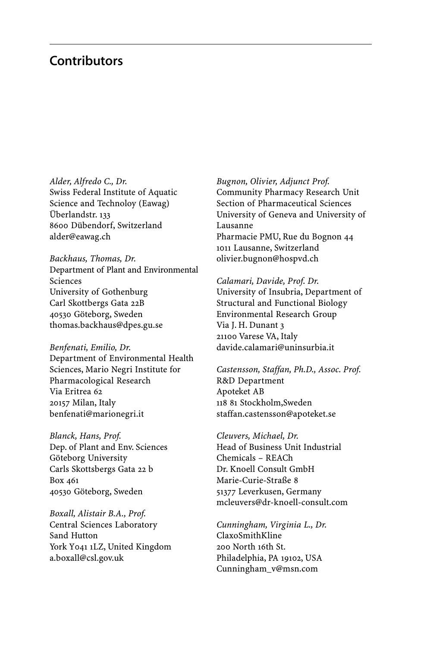## **Contributors**

*Alder, Alfredo C., Dr.* Swiss Federal Institute of Aquatic Science and Technoloy (Eawag) Überlandstr. 133 8600 Dübendorf, Switzerland alder@eawag.ch

*Backhaus, Thomas, Dr.* Department of Plant and Environmental Sciences University of Gothenburg Carl Skottbergs Gata 22B 40530 Göteborg, Sweden thomas.backhaus@dpes.gu.se

#### *Benfenati, Emilio, Dr.*

Department of Environmental Health Sciences, Mario Negri Institute for Pharmacological Research Via Eritrea 62 20157 Milan, Italy benfenati@marionegri.it

*Blanck, Hans, Prof.* Dep. of Plant and Env. Sciences Göteborg University Carls Skottsbergs Gata 22 b Box 461 40530 Göteborg, Sweden

*Boxall, Alistair B.A., Prof.* Central Sciences Laboratory Sand Hutton York Y041 1LZ, United Kingdom a.boxall@csl.gov.uk

*Bugnon, Olivier, Adjunct Prof.* Community Pharmacy Research Unit Section of Pharmaceutical Sciences University of Geneva and University of Lausanne Pharmacie PMU, Rue du Bognon 44 1011 Lausanne, Switzerland olivier.bugnon@hospvd.ch

*Calamari, Davide, Prof. Dr.* University of Insubria, Department of Structural and Functional Biology Environmental Research Group Via J. H. Dunant 3 21100 Varese VA, Italy davide.calamari@uninsurbia.it

*Castensson, Staffan, Ph.D., Assoc. Prof.* R&D Department Apoteket AB 118 81 Stockholm,Sweden staffan.castensson@apoteket.se

*Cleuvers, Michael, Dr.* Head of Business Unit Industrial Chemicals – REACh Dr. Knoell Consult GmbH Marie-Curie-Straße 8 51377 Leverkusen, Germany mcleuvers@dr-knoell-consult.com

*Cunningham, Virginia L., Dr.* ClaxoSmithKline 200 North 16th St. Philadelphia, PA 19102, USA Cunningham\_v@msn.com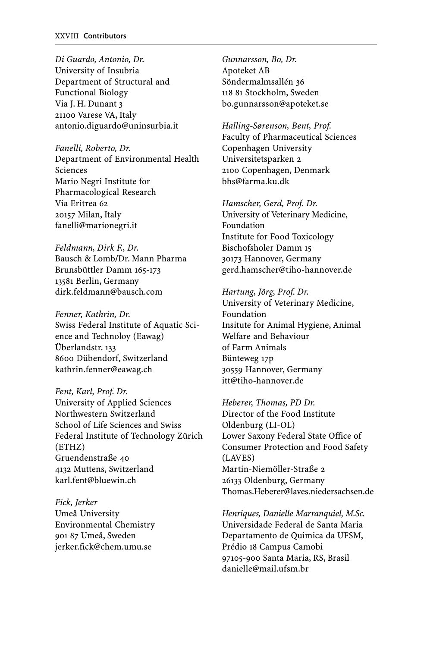*Di Guardo, Antonio, Dr.* University of Insubria Department of Structural and Functional Biology Via J. H. Dunant 3 21100 Varese VA, Italy antonio.diguardo@uninsurbia.it

*Fanelli, Roberto, Dr.* Department of Environmental Health Sciences Mario Negri Institute for Pharmacological Research Via Eritrea 62 20157 Milan, Italy fanelli@marionegri.it

*Feldmann, Dirk F., Dr.* Bausch & Lomb/Dr. Mann Pharma Brunsbüttler Damm 165-173 13581 Berlin, Germany dirk.feldmann@bausch.com

*Fenner, Kathrin, Dr.* Swiss Federal Institute of Aquatic Science and Technoloy (Eawag) Überlandstr. 133 8600 Dübendorf, Switzerland kathrin.fenner@eawag.ch

*Fent, Karl, Prof. Dr.* University of Applied Sciences Northwestern Switzerland School of Life Sciences and Swiss Federal Institute of Technology Zürich (ETHZ) Gruendenstraße 40 4132 Muttens, Switzerland karl.fent@bluewin.ch

*Fick, Jerker* Umeå University Environmental Chemistry 901 87 Umeå, Sweden jerker.fick@chem.umu.se

*Gunnarsson, Bo, Dr.* Apoteket AB Söndermalmsallén 36 118 81 Stockholm, Sweden bo.gunnarsson@apoteket.se

*Halling-Sørenson, Bent, Prof.* Faculty of Pharmaceutical Sciences Copenhagen University Universitetsparken 2 2100 Copenhagen, Denmark bhs@farma.ku.dk

*Hamscher, Gerd, Prof. Dr.* University of Veterinary Medicine, Foundation Institute for Food Toxicology Bischofsholer Damm 15 30173 Hannover, Germany gerd.hamscher@tiho-hannover.de

#### *Hartung, Jörg, Prof. Dr.*

University of Veterinary Medicine, Foundation Insitute for Animal Hygiene, Animal Welfare and Behaviour of Farm Animals Bünteweg 17p 30559 Hannover, Germany itt@tiho-hannover.de

*Heberer, Thomas, PD Dr.* Director of the Food Institute Oldenburg (LI-OL) Lower Saxony Federal State Office of Consumer Protection and Food Safety (LAVES) Martin-Niemöller-Straße 2 26133 Oldenburg, Germany Thomas.Heberer@laves.niedersachsen.de

*Henriques, Danielle Marranquiel, M.Sc.* Universidade Federal de Santa Maria Departamento de Quimica da UFSM, Prédio 18 Campus Camobi 97105-900 Santa Maria, RS, Brasil danielle@mail.ufsm.br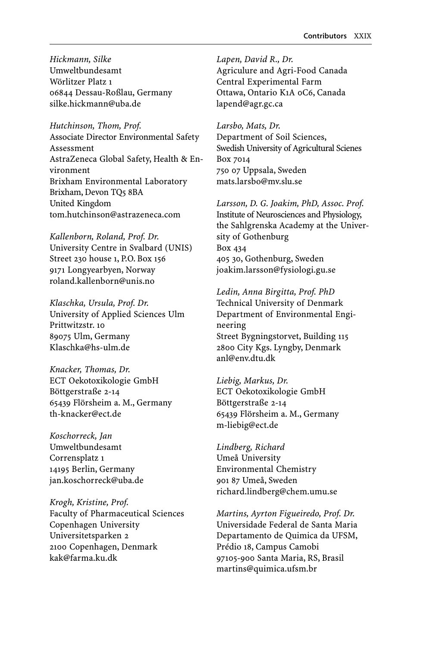*Hickmann, Silke* Umweltbundesamt Wörlitzer Platz 1 06844 Dessau-Roßlau, Germany silke.hickmann@uba.de

*Hutchinson, Thom, Prof.* Associate Director Environmental Safety Assessment AstraZeneca Global Safety, Health & Environment Brixham Environmental Laboratory Brixham, Devon TQ5 8BA United Kingdom tom.hutchinson@astrazeneca.com

*Kallenborn, Roland, Prof. Dr.* University Centre in Svalbard (UNIS) Street 230 house 1, P.O. Box 156 9171 Longyearbyen, Norway roland.kallenborn@unis.no

*Klaschka, Ursula, Prof. Dr.* University of Applied Sciences Ulm Prittwitzstr. 10 89075 Ulm, Germany Klaschka@hs-ulm.de

*Knacker, Thomas, Dr.* ECT Oekotoxikologie GmbH Böttgerstraße 2-14 65439 Flörsheim a. M., Germany th-knacker@ect.de

*Koschorreck, Jan* Umweltbundesamt Corrensplatz 1 14195 Berlin, Germany jan.koschorreck@uba.de

*Krogh, Kristine, Prof.* Faculty of Pharmaceutical Sciences Copenhagen University Universitetsparken 2 2100 Copenhagen, Denmark kak@farma.ku.dk

*Lapen, David R., Dr.* Agriculure and Agri-Food Canada Central Experimental Farm Ottawa, Ontario K1A 0C6, Canada lapend@agr.gc.ca

*Larsbo, Mats, Dr.* Department of Soil Sciences, Swedish University of Agricultural Scienes Box 7014 750 07 Uppsala, Sweden mats.larsbo@mv.slu.se

*Larsson, D. G. Joakim, PhD, Assoc. Prof.* Institute of Neurosciences and Physiology, the Sahlgrenska Academy at the University of Gothenburg Box 434 405 30, Gothenburg, Sweden joakim.larsson@fysiologi.gu.se

*Ledin, Anna Birgitta, Prof. PhD* Technical University of Denmark Department of Environmental Engineering Street Bygningstorvet, Building 115 2800 City Kgs. Lyngby, Denmark anl@env.dtu.dk

*Liebig, Markus, Dr.* ECT Oekotoxikologie GmbH Böttgerstraße 2-14 65439 Flörsheim a. M., Germany m-liebig@ect.de

*Lindberg, Richard* Umeå University Environmental Chemistry 901 87 Umeå, Sweden richard.lindberg@chem.umu.se

*Martins, Ayrton Figueiredo, Prof. Dr.* Universidade Federal de Santa Maria Departamento de Quimica da UFSM, Prédio 18, Campus Camobi 97105-900 Santa Maria, RS, Brasil martins@quimica.ufsm.br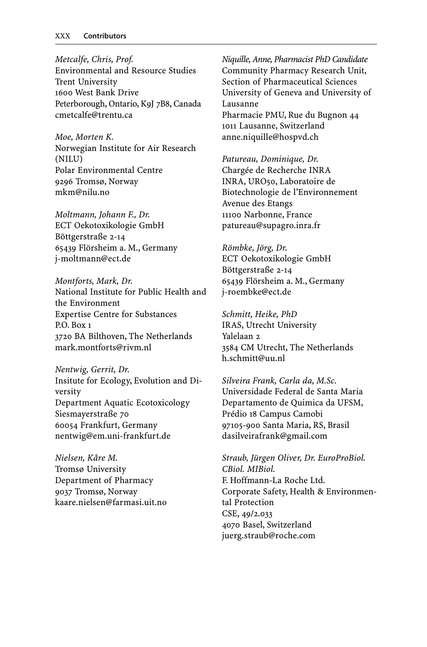*Metcalfe, Chris, Prof.* Environmental and Resource Studies Trent University 1600 West Bank Drive Peterborough, Ontario, K9J 7B8, Canada cmetcalfe@trentu.ca

*Moe, Morten K.* Norwegian Institute for Air Research (NILU) Polar Environmental Centre 9296 Tromsø, Norway mkm@nilu.no

*Moltmann, Johann F., Dr.* ECT Oekotoxikologie GmbH Böttgerstraße 2-14 65439 Flörsheim a. M., Germany j-moltmann@ect.de

*Montforts, Mark, Dr.* National Institute for Public Health and the Environment Expertise Centre for Substances P.O. Box 1 3720 BA Bilthoven, The Netherlands mark.montforts@rivm.nl

*Nentwig, Gerrit, Dr.* Insitute for Ecology, Evolution and Diversity Department Aquatic Ecotoxicology Siesmayerstraße 70 60054 Frankfurt, Germany nentwig@em.uni-frankfurt.de

*Nielsen, Kåre M.* Tromsø University Department of Pharmacy 9037 Tromsø, Norway kaare.nielsen@farmasi.uit.no *Niquille, Anne, Pharmacist PhD Candidate* Community Pharmacy Research Unit, Section of Pharmaceutical Sciences University of Geneva and University of Lausanne Pharmacie PMU, Rue du Bugnon 44 1011 Lausanne, Switzerland anne.niquille@hospvd.ch

*Patureau, Dominique, Dr.* Chargée de Recherche INRA INRA, URO50, Laboratoire de Biotechnologie de l'Environnement Avenue des Etangs 11100 Narbonne, France patureau@supagro.inra.fr

*Römbke, Jörg, Dr.* ECT Oekotoxikologie GmbH Böttgerstraße 2-14 65439 Flörsheim a. M., Germany j-roembke@ect.de

*Schmitt, Heike, PhD* IRAS, Utrecht University Yalelaan 2 3584 CM Utrecht, The Netherlands h.schmitt@uu.nl

*Silveira Frank, Carla da, M.Sc.* Universidade Federal de Santa Maria Departamento de Quimica da UFSM, Prédio 18 Campus Camobi 97105-900 Santa Maria, RS, Brasil dasilveirafrank@gmail.com

*Straub, Jürgen Oliver, Dr. EuroProBiol. CBiol. MIBiol.* F. Hoffmann-La Roche Ltd. Corporate Safety, Health & Environmental Protection CSE, 49/2.033 4070 Basel, Switzerland juerg.straub@roche.com